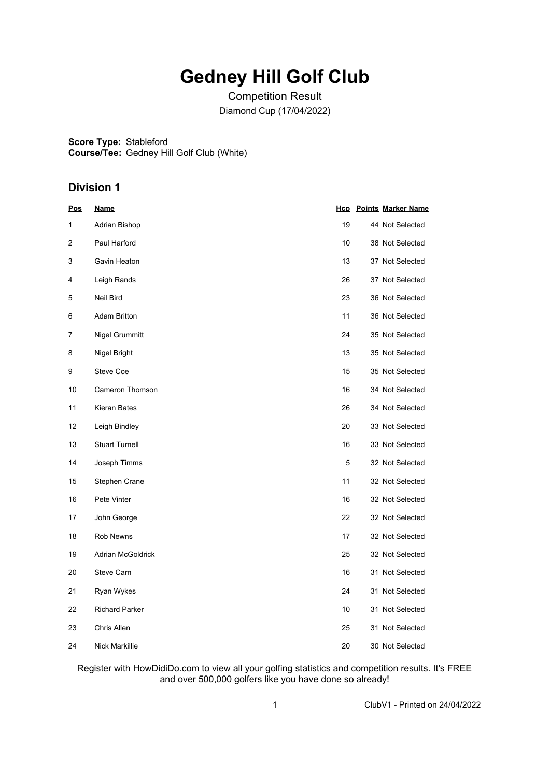## **Gedney Hill Golf Club**

Competition Result Diamond Cup (17/04/2022)

**Score Type:** Stableford

**Course/Tee:** Gedney Hill Golf Club (White)

### **Division 1**

| <u>Pos</u> | <u>Name</u>           |    | <b>Hcp</b> Points Marker Name |
|------------|-----------------------|----|-------------------------------|
| 1          | Adrian Bishop         | 19 | 44 Not Selected               |
| 2          | Paul Harford          | 10 | 38 Not Selected               |
| 3          | Gavin Heaton          | 13 | 37 Not Selected               |
| 4          | Leigh Rands           | 26 | 37 Not Selected               |
| 5          | Neil Bird             | 23 | 36 Not Selected               |
| 6          | <b>Adam Britton</b>   | 11 | 36 Not Selected               |
| 7          | Nigel Grummitt        | 24 | 35 Not Selected               |
| 8          | Nigel Bright          | 13 | 35 Not Selected               |
| 9          | <b>Steve Coe</b>      | 15 | 35 Not Selected               |
| 10         | Cameron Thomson       | 16 | 34 Not Selected               |
| 11         | Kieran Bates          | 26 | 34 Not Selected               |
| 12         | Leigh Bindley         | 20 | 33 Not Selected               |
| 13         | <b>Stuart Turnell</b> | 16 | 33 Not Selected               |
| 14         | Joseph Timms          | 5  | 32 Not Selected               |
| 15         | Stephen Crane         | 11 | 32 Not Selected               |
| 16         | Pete Vinter           | 16 | 32 Not Selected               |
| 17         | John George           | 22 | 32 Not Selected               |
| 18         | <b>Rob Newns</b>      | 17 | 32 Not Selected               |
| 19         | Adrian McGoldrick     | 25 | 32 Not Selected               |
| 20         | Steve Carn            | 16 | 31 Not Selected               |
| 21         | Ryan Wykes            | 24 | 31 Not Selected               |
| 22         | <b>Richard Parker</b> | 10 | 31 Not Selected               |
| 23         | Chris Allen           | 25 | 31 Not Selected               |
| 24         | Nick Markillie        | 20 | 30 Not Selected               |

Register with HowDidiDo.com to view all your golfing statistics and competition results. It's FREE and over 500,000 golfers like you have done so already!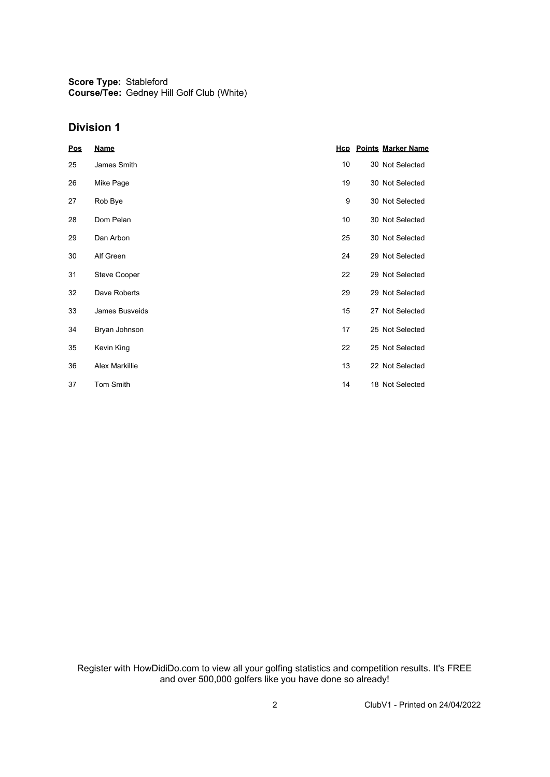**Score Type:** Stableford **Course/Tee:** Gedney Hill Golf Club (White)

### **Division 1**

| <u>Pos</u> | <u>Name</u>           |    | <b>Hcp</b> Points Marker Name |
|------------|-----------------------|----|-------------------------------|
| 25         | James Smith           | 10 | 30 Not Selected               |
| 26         | Mike Page             | 19 | 30 Not Selected               |
| 27         | Rob Bye               | 9  | 30 Not Selected               |
| 28         | Dom Pelan             | 10 | 30 Not Selected               |
| 29         | Dan Arbon             | 25 | 30 Not Selected               |
| 30         | Alf Green             | 24 | 29 Not Selected               |
| 31         | <b>Steve Cooper</b>   | 22 | 29 Not Selected               |
| 32         | Dave Roberts          | 29 | 29 Not Selected               |
| 33         | James Busveids        | 15 | 27 Not Selected               |
| 34         | Bryan Johnson         | 17 | 25 Not Selected               |
| 35         | Kevin King            | 22 | 25 Not Selected               |
| 36         | <b>Alex Markillie</b> | 13 | 22 Not Selected               |
| 37         | Tom Smith             | 14 | 18 Not Selected               |

Register with HowDidiDo.com to view all your golfing statistics and competition results. It's FREE and over 500,000 golfers like you have done so already!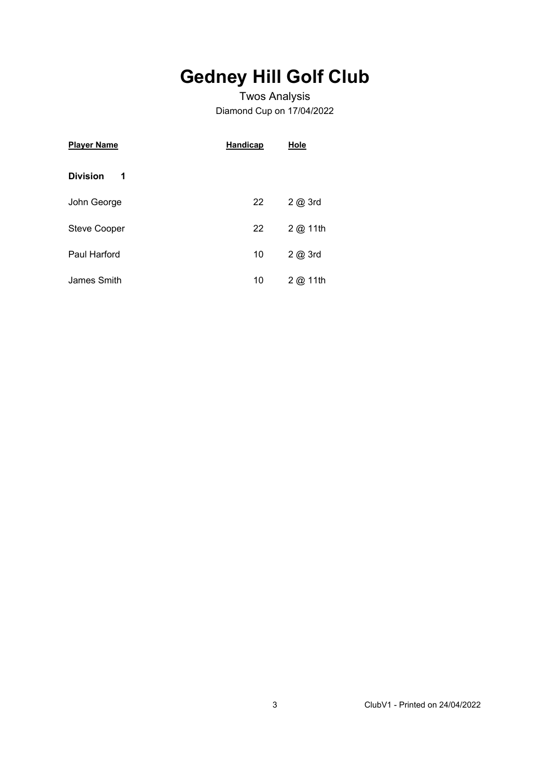# **Gedney Hill Golf Club**

### Twos Analysis Diamond Cup on 17/04/2022

| <b>Player Name</b>   | <b>Handicap</b> | Hole        |
|----------------------|-----------------|-------------|
| <b>Division</b><br>1 |                 |             |
| John George          | 22              | $2$ $@$ 3rd |
| <b>Steve Cooper</b>  | 22              | 2 @ 11th    |
| Paul Harford         | 10              | 2 @ 3rd     |
| James Smith          | 10              | 2@<br>11th  |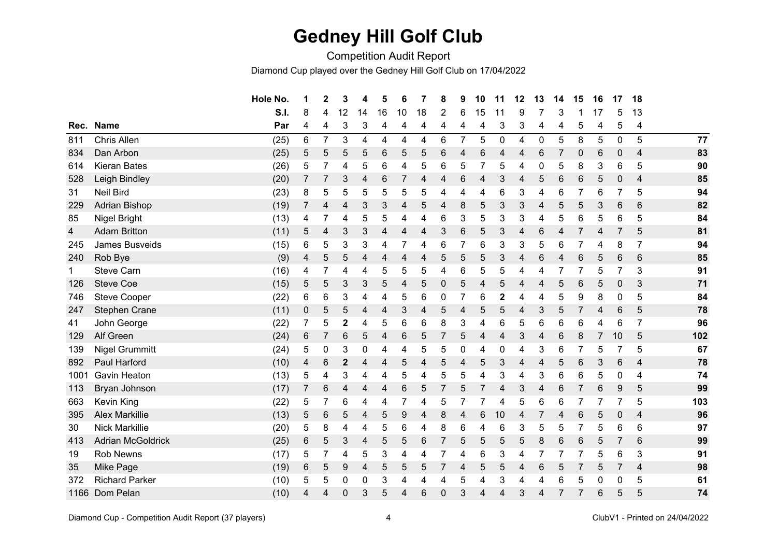## **Gedney Hill Golf Club**

Competition Audit Report

Diamond Cup played over the Gedney Hill Golf Club on 17/04/2022

|      |                          | Hole No. | 1 | $\mathbf{2}$ | 3                | 4  | 5  | 6  | 7  | 8        | 9 | 10 | 11             | 12             | 13             | 14 | 15             | 16 | 17          | 18             |     |
|------|--------------------------|----------|---|--------------|------------------|----|----|----|----|----------|---|----|----------------|----------------|----------------|----|----------------|----|-------------|----------------|-----|
|      |                          | S.I.     | 8 | 4            | 12               | 14 | 16 | 10 | 18 | 2        | 6 | 15 | 11             | 9              | 7              | 3  |                | 17 | 5           | 13             |     |
| Rec. | <b>Name</b>              | Par      | 4 | 4            | 3                | 3  | 4  | 4  | 4  | 4        | 4 | 4  | 3              | 3              | 4              | 4  | 5              | 4  | 5           | 4              |     |
| 811  | Chris Allen              | (25)     | 6 | 7            | 3                | 4  | 4  | 4  | 4  | 6        | 7 | 5  | $\mathbf 0$    | 4              | $\pmb{0}$      | 5  | 8              | 5  | $\pmb{0}$   | 5              | 77  |
| 834  | Dan Arbon                | (25)     | 5 | 5            | 5                | 5  | 6  | 5  | 5  | 6        | 4 | 6  | 4              | 4              | $\,6$          | 7  | $\mathbf 0$    | 6  | $\pmb{0}$   | 4              | 83  |
| 614  | <b>Kieran Bates</b>      | (26)     | 5 | 7            | 4                | 5  | 6  | 4  | 5  | 6        | 5 |    | 5              | 4              | 0              | 5  | 8              | 3  | 6           | 5              | 90  |
| 528  | Leigh Bindley            | (20)     | 7 | 7            | 3                | 4  | 6  | 7  | 4  | 4        | 6 | 4  | 3              | 4              | 5              | 6  | $\,6$          | 5  | $\mathbf 0$ | $\overline{4}$ | 85  |
| 31   | <b>Neil Bird</b>         | (23)     | 8 | 5            | 5                | 5  | 5  | 5  | 5  | 4        | 4 | 4  | 6              | 3              | 4              | 6  |                | 6  | 7           | 5              | 94  |
| 229  | <b>Adrian Bishop</b>     | (19)     | 7 | 4            | 4                | 3  | 3  | 4  | 5  | 4        | 8 | 5  | 3              | 3              | 4              | 5  | 5              | 3  | 6           | 6              | 82  |
| 85   | Nigel Bright             | (13)     | 4 | 7            | 4                | 5  | 5  | 4  | 4  | 6        | 3 | 5  | 3              | 3              | 4              | 5  | 6              | 5  | 6           | 5              | 84  |
| 4    | <b>Adam Britton</b>      | (11)     | 5 | 4            | 3                | 3  | 4  | 4  | 4  | 3        | 6 | 5  | 3              | 4              | 6              | 4  |                | 4  |             | 5              | 81  |
| 245  | James Busveids           | (15)     | 6 | 5            | 3                | 3  | 4  | 7  | 4  | 6        | 7 | 6  | 3              | 3              | 5              | 6  |                | 4  | 8           | $\overline{7}$ | 94  |
| 240  | Rob Bye                  | (9)      | 4 | 5            | 5                | 4  | 4  | 4  | 4  | 5        | 5 | 5  | 3              | 4              | 6              | 4  | 6              | 5  | 6           | 6              | 85  |
| 1    | <b>Steve Carn</b>        | (16)     | 4 | 7            | 4                | 4  | 5  | 5  | 5  | 4        | 6 | 5  | 5              | 4              | 4              | 7  |                | 5  | 7           | 3              | 91  |
| 126  | <b>Steve Coe</b>         | (15)     | 5 | 5            | 3                | 3  | 5  | 4  | 5  | 0        | 5 | 4  | 5              | 4              | 4              | 5  | 6              | 5  | $\mathbf 0$ | 3              | 71  |
| 746  | <b>Steve Cooper</b>      | (22)     | 6 | 6            | 3                | 4  | 4  | 5  | 6  | 0        | 7 | 6  | $\overline{2}$ | 4              | 4              | 5  | 9              | 8  | 0           | 5              | 84  |
| 247  | <b>Stephen Crane</b>     | (11)     | 0 | 5            | 5                | 4  | 4  | 3  | 4  | 5        | 4 | 5  | 5              | 4              | $\mathfrak{B}$ | 5  | 7              | 4  | 6           | 5              | 78  |
| 41   | John George              | (22)     | 7 | 5            | $\mathbf 2$      | 4  | 5  | 6  | 6  | 8        | 3 | 4  | 6              | 5              | 6              | 6  | 6              | 4  | 6           | $\overline{7}$ | 96  |
| 129  | Alf Green                | (24)     | 6 | 7            | 6                | 5  | 4  | 6  | 5  |          | 5 | 4  | 4              | 3              | 4              | 6  | 8              | 7  | 10          | 5              | 102 |
| 139  | <b>Nigel Grummitt</b>    | (24)     | 5 | 0            | 3                | 0  | 4  | 4  | 5  | 5        | 0 | 4  | 0              | 4              | 3              | 6  |                | 5  |             | 5              | 67  |
| 892  | Paul Harford             | (10)     | 4 | 6            | $\mathbf 2$      | 4  | 4  | 5  | 4  | 5        | 4 | 5  | 3              | 4              | 4              | 5  | 6              | 3  | 6           | 4              | 78  |
| 1001 | <b>Gavin Heaton</b>      | (13)     | 5 | 4            | 3                | 4  | 4  | 5  | 4  | 5        | 5 | 4  | 3              | 4              | 3              | 6  | 6              | 5  | 0           | 4              | 74  |
| 113  | Bryan Johnson            | (17)     | 7 | 6            | 4                | 4  | 4  | 6  | 5  | 7        | 5 | 7  | 4              | $\mathfrak{S}$ | 4              | 6  | $\overline{7}$ | 6  | 9           | 5              | 99  |
| 663  | Kevin King               | (22)     | 5 | 7            | 6                | 4  | 4  | 7  | 4  | 5        | 7 |    | 4              | 5              | 6              | 6  |                | 7  | 7           | 5              | 103 |
| 395  | <b>Alex Markillie</b>    | (13)     | 5 | $\,6$        | 5                | 4  | 5  | 9  | 4  | 8        | 4 | 6  | 10             | 4              | 7              | 4  | 6              | 5  | 0           | $\overline{4}$ | 96  |
| 30   | <b>Nick Markillie</b>    | (20)     | 5 | 8            | 4                | 4  | 5  | 6  | 4  | 8        | 6 | 4  | 6              | 3              | 5              | 5  |                | 5  | 6           | 6              | 97  |
| 413  | <b>Adrian McGoldrick</b> | (25)     | 6 | 5            | 3                | 4  | 5  | 5  | 6  | 7        | 5 | 5  | 5              | 5              | 8              | 6  | 6              | 5  | 7           | 6              | 99  |
| 19   | <b>Rob Newns</b>         | (17)     | 5 | 7            | 4                | 5  | 3  | 4  | 4  |          | 4 | 6  | 3              | 4              | 7              |    |                | 5  | 6           | 3              | 91  |
| 35   | Mike Page                | (19)     | 6 | 5            | 9                | 4  | 5  | 5  | 5  |          | 4 | 5  | 5              | 4              | 6              | 5  |                | 5  | 7           | $\overline{4}$ | 98  |
| 372  | <b>Richard Parker</b>    | (10)     | 5 | 5            | $\boldsymbol{0}$ | 0  | 3  | 4  | 4  | 4        | 5 | 4  | 3              | 4              | 4              | 6  | 5              | 0  | 0           | 5              | 61  |
| 1166 | Dom Pelan                | (10)     | 4 | 4            | 0                | 3  | 5  | 4  | 6  | $\Omega$ | 3 | 4  | 4              | 3              | 4              |    |                | 6  | 5           | 5              | 74  |